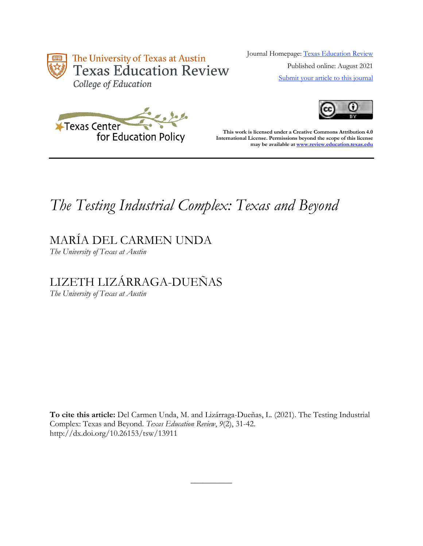

Journal Homepage: [Texas Education Review](https://review.education.utexas.edu/) Published online: August 2021 [Submit your article to this journal](https://review.education.utexas.edu/guidelines/)





**This work is licensed under a Creative Commons Attribution 4.0 International License. Permissions beyond the scope of this license may be available a[t www.review.education.texas.edu](http://www.review.education.texas.edu/)**

# *The Testing Industrial Complex: Texas and Beyond*

MARÍA DEL CARMEN UNDA

*The University of Texas at Austin*

## LIZETH LIZÁRRAGA-DUEÑAS

*The University of Texas at Austin*

**To cite this article:** Del Carmen Unda, M. and Lizárraga-Dueñas, L. (2021). The Testing Industrial Complex: Texas and Beyond. *Texas Education Review*, *9*(2), 31-42. http://dx.doi.org/10.26153/tsw/13911

 $\overline{\phantom{a}}$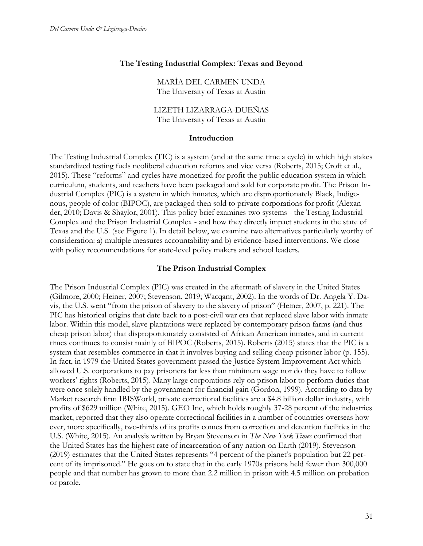#### **The Testing Industrial Complex: Texas and Beyond**

MARÍA DEL CARMEN UNDA The University of Texas at Austin

LIZETH LIZARRAGA-DUEÑAS The University of Texas at Austin

#### **Introduction**

The Testing Industrial Complex (TIC) is a system (and at the same time a cycle) in which high stakes standardized testing fuels neoliberal education reforms and vice versa (Roberts, 2015; Croft et al., 2015). These "reforms" and cycles have monetized for profit the public education system in which curriculum, students, and teachers have been packaged and sold for corporate profit. The Prison Industrial Complex (PIC) is a system in which inmates, which are disproportionately Black, Indigenous, people of color (BIPOC), are packaged then sold to private corporations for profit (Alexander, 2010; Davis & Shaylor, 2001). This policy brief examines two systems - the Testing Industrial Complex and the Prison Industrial Complex - and how they directly impact students in the state of Texas and the U.S. (see Figure 1). In detail below, we examine two alternatives particularly worthy of consideration: a) multiple measures accountability and b) evidence-based interventions. We close with policy recommendations for state-level policy makers and school leaders.

#### **The Prison Industrial Complex**

The Prison Industrial Complex (PIC) was created in the aftermath of slavery in the United States (Gilmore, 2000; Heiner, 2007; Stevenson, 2019; Wacqant, 2002). In the words of Dr. Angela Y. Davis, the U.S. went "from the prison of slavery to the slavery of prison" (Heiner, 2007, p. 221). The PIC has historical origins that date back to a post-civil war era that replaced slave labor with inmate labor. Within this model, slave plantations were replaced by contemporary prison farms (and thus cheap prison labor) that disproportionately consisted of African American inmates, and in current times continues to consist mainly of BIPOC (Roberts, 2015). Roberts (2015) states that the PIC is a system that resembles commerce in that it involves buying and selling cheap prisoner labor (p. 155). In fact, in 1979 the United States government passed the Justice System Improvement Act which allowed U.S. corporations to pay prisoners far less than minimum wage nor do they have to follow workers' rights (Roberts, 2015). Many large corporations rely on prison labor to perform duties that were once solely handled by the government for financial gain (Gordon, 1999). According to data by Market research firm IBISWorld, private correctional facilities are a \$4.8 billion dollar industry, with profits of \$629 million (White, 2015). GEO Inc, which holds roughly 37-28 percent of the industries market, reported that they also operate correctional facilities in a number of countries overseas however, more specifically, two-thirds of its profits comes from correction and detention facilities in the U.S. (White, 2015). An analysis written by Bryan Stevenson in *The New York Times* confirmed that the United States has the highest rate of incarceration of any nation on Earth (2019). Stevenson (2019) estimates that the United States represents "4 percent of the planet's population but 22 percent of its imprisoned." He goes on to state that in the early 1970s prisons held fewer than 300,000 people and that number has grown to more than 2.2 million in prison with 4.5 million on probation or parole.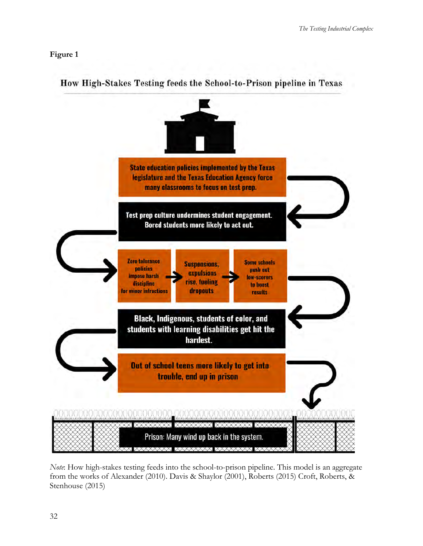## **Figure 1**



## How High-Stakes Testing feeds the School-to-Prison pipeline in Texas

*Note*: How high-stakes testing feeds into the school-to-prison pipeline. This model is an aggregate from the works of Alexander (2010). Davis & Shaylor (2001), Roberts (2015) Croft, Roberts, & Stenhouse (2015)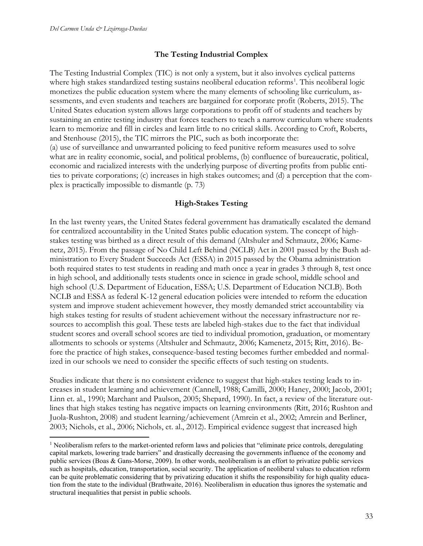#### **The Testing Industrial Complex**

The Testing Industrial Complex (TIC) is not only a system, but it also involves cyclical patterns where high stakes standardized testing sustains neoliberal education reforms<sup>1</sup>. This neoliberal logic monetizes the public education system where the many elements of schooling like curriculum, assessments, and even students and teachers are bargained for corporate profit (Roberts, 2015). The United States education system allows large corporations to profit off of students and teachers by sustaining an entire testing industry that forces teachers to teach a narrow curriculum where students learn to memorize and fill in circles and learn little to no critical skills. According to Croft, Roberts, and Stenhouse (2015), the TIC mirrors the PIC, such as both incorporate the: (a) use of surveillance and unwarranted policing to feed punitive reform measures used to solve what are in reality economic, social, and political problems, (b) confluence of bureaucratic, political, economic and racialized interests with the underlying purpose of diverting profits from public entities to private corporations; (c) increases in high stakes outcomes; and (d) a perception that the complex is practically impossible to dismantle (p. 73)

#### **High-Stakes Testing**

In the last twenty years, the United States federal government has dramatically escalated the demand for centralized accountability in the United States public education system. The concept of highstakes testing was birthed as a direct result of this demand (Altshuler and Schmautz, 2006; Kamenetz, 2015). From the passage of No Child Left Behind (NCLB) Act in 2001 passed by the Bush administration to Every Student Succeeds Act (ESSA) in 2015 passed by the Obama administration both required states to test students in reading and math once a year in grades 3 through 8, test once in high school, and additionally tests students once in science in grade school, middle school and high school (U.S. Department of Education, ESSA; U.S. Department of Education NCLB). Both NCLB and ESSA as federal K-12 general education policies were intended to reform the education system and improve student achievement however, they mostly demanded strict accountability via high stakes testing for results of student achievement without the necessary infrastructure nor resources to accomplish this goal. These tests are labeled high-stakes due to the fact that individual student scores and overall school scores are tied to individual promotion, graduation, or momentary allotments to schools or systems (Altshuler and Schmautz, 2006; Kamenetz, 2015; Ritt, 2016). Before the practice of high stakes, consequence-based testing becomes further embedded and normalized in our schools we need to consider the specific effects of such testing on students.

Studies indicate that there is no consistent evidence to suggest that high-stakes testing leads to increases in student learning and achievement (Cannell, 1988; Camilli, 2000; Haney, 2000; Jacob, 2001; Linn et. al., 1990; Marchant and Paulson, 2005; Shepard, 1990). In fact, a review of the literature outlines that high stakes testing has negative impacts on learning environments (Ritt, 2016; Rushton and Juola-Rushton, 2008) and student learning/achievement (Amrein et al., 2002; Amrein and Berliner, 2003; Nichols, et al., 2006; Nichols, et. al., 2012). Empirical evidence suggest that increased high

<sup>&</sup>lt;sup>1</sup> Neoliberalism refers to the market-oriented reform laws and policies that "eliminate price controls, deregulating capital markets, lowering trade barriers" and drastically decreasing the governments influence of the economy and public services (Boas & Gans-Morse, 2009). In other words, neoliberalism is an effort to privatize public services such as hospitals, education, transportation, social security. The application of neoliberal values to education reform can be quite problematic considering that by privatizing education it shifts the responsibility for high quality education from the state to the individual (Brathwaite, 2016). Neoliberalism in education thus ignores the systematic and structural inequalities that persist in public schools.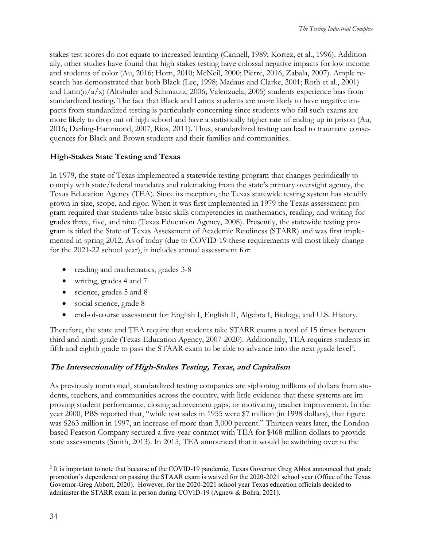stakes test scores do not equate to increased learning (Cannell, 1989; Kortez, et al., 1996). Additionally, other studies have found that high stakes testing have colossal negative impacts for low income and students of color (Au, 2016; Horn, 2010; McNeil, 2000; Pierre, 2016, Zabala, 2007). Ample research has demonstrated that both Black (Lee, 1998; Madaus and Clarke, 2001; Roth et al., 2001) and Latin(o/a/x) (Altshuler and Schmautz, 2006; Valenzuela, 2005) students experience bias from standardized testing. The fact that Black and Latinx students are more likely to have negative impacts from standardized testing is particularly concerning since students who fail such exams are more likely to drop out of high school and have a statistically higher rate of ending up in prison (Au, 2016; Darling-Hammond, 2007, Rios, 2011). Thus, standardized testing can lead to traumatic consequences for Black and Brown students and their families and communities.

## **High-Stakes State Testing and Texas**

In 1979, the state of Texas implemented a statewide testing program that changes periodically to comply with state/federal mandates and rulemaking from the state's primary oversight agency, the Texas Education Agency (TEA). Since its inception, the Texas statewide testing system has steadily grown in size, scope, and rigor. When it was first implemented in 1979 the Texas assessment program required that students take basic skills competencies in mathematics, reading, and writing for grades three, five, and nine (Texas Education Agency, 2008). Presently, the statewide testing program is titled the State of Texas Assessment of Academic Readiness (STARR) and was first implemented in spring 2012. As of today (due to COVID-19 these requirements will most likely change for the 2021-22 school year), it includes annual assessment for:

- reading and mathematics, grades 3-8
- writing, grades 4 and 7
- science, grades 5 and 8
- social science, grade 8
- end-of-course assessment for English I, English II, Algebra I, Biology, and U.S. History.

Therefore, the state and TEA require that students take STARR exams a total of 15 times between third and ninth grade (Texas Education Agency, 2007-2020). Additionally, TEA requires students in fifth and eighth grade to pass the STAAR exam to be able to advance into the next grade level<sup>2</sup>.

## **The Intersectionality of High-Stakes Testing, Texas, and Capitalism**

As previously mentioned, standardized testing companies are siphoning millions of dollars from students, teachers, and communities across the country, with little evidence that these systems are improving student performance, closing achievement gaps, or motivating teacher improvement. In the year 2000, PBS reported that, "while test sales in 1955 were \$7 million (in 1998 dollars), that figure was \$263 million in 1997, an increase of more than 3,000 percent." Thirteen years later, the Londonbased Pearson Company secured a five-year contract with TEA for \$468 million dollars to provide state assessments (Smith, 2013). In 2015, TEA announced that it would be switching over to the

<sup>&</sup>lt;sup>2</sup> It is important to note that because of the COVID-19 pandemic, Texas Governor Greg Abbot announced that grade promotion's dependence on passing the STAAR exam is waived for the 2020-2021 school year (Office of the Texas Governor-Greg Abbott, 2020). However, for the 2020-2021 school year Texas education officials decided to administer the STARR exam in person during COVID-19 (Agnew & Bohra, 2021).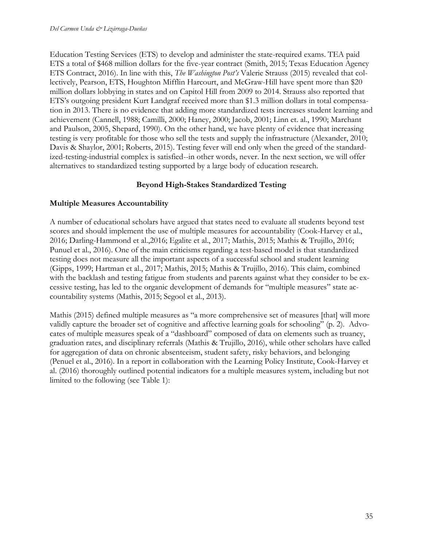Education Testing Services (ETS) to develop and administer the state-required exams. TEA paid ETS a total of \$468 million dollars for the five-year contract (Smith, 2015; Texas Education Agency ETS Contract, 2016). In line with this, *The Washington Post's* Valerie Strauss (2015) revealed that collectively, Pearson, ETS, Houghton Mifflin Harcourt, and McGraw-Hill have spent more than \$20 million dollars lobbying in states and on Capitol Hill from 2009 to 2014. Strauss also reported that ETS's outgoing president Kurt Landgraf received more than \$1.3 million dollars in total compensation in 2013. There is no evidence that adding more standardized tests increases student learning and achievement (Cannell, 1988; Camilli, 2000; Haney, 2000; Jacob, 2001; Linn et. al., 1990; Marchant and Paulson, 2005, Shepard, 1990). On the other hand, we have plenty of evidence that increasing testing is very profitable for those who sell the tests and supply the infrastructure (Alexander, 2010; Davis & Shaylor, 2001; Roberts, 2015). Testing fever will end only when the greed of the standardized-testing-industrial complex is satisfied--in other words, never. In the next section, we will offer alternatives to standardized testing supported by a large body of education research.

## **Beyond High-Stakes Standardized Testing**

## **Multiple Measures Accountability**

A number of educational scholars have argued that states need to evaluate all students beyond test scores and should implement the use of multiple measures for accountability (Cook-Harvey et al., 2016; Darling-Hammond et al.,2016; Egalite et al., 2017; Mathis, 2015; Mathis & Trujillo, 2016; Punuel et al., 2016). One of the main criticisms regarding a test-based model is that standardized testing does not measure all the important aspects of a successful school and student learning (Gipps, 1999; Hartman et al., 2017; Mathis, 2015; Mathis & Trujillo, 2016). This claim, combined with the backlash and testing fatigue from students and parents against what they consider to be excessive testing, has led to the organic development of demands for "multiple measures" state accountability systems (Mathis, 2015; Segool et al., 2013).

Mathis (2015) defined multiple measures as "a more comprehensive set of measures [that] will more validly capture the broader set of cognitive and affective learning goals for schooling" (p. 2). Advocates of multiple measures speak of a "dashboard" composed of data on elements such as truancy, graduation rates, and disciplinary referrals (Mathis & Trujillo, 2016), while other scholars have called for aggregation of data on chronic absenteeism, student safety, risky behaviors, and belonging (Penuel et al., 2016). In a report in collaboration with the Learning Policy Institute, Cook-Harvey et al. (2016) thoroughly outlined potential indicators for a multiple measures system, including but not limited to the following (see Table 1):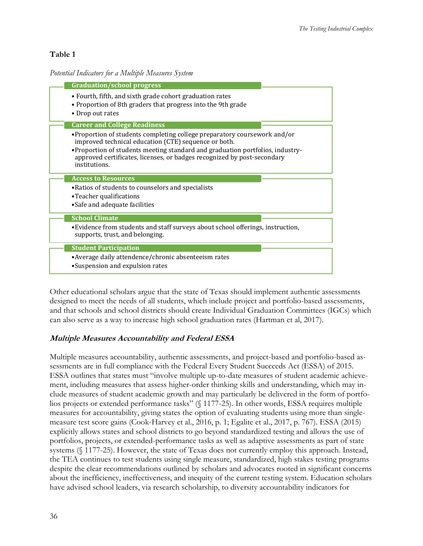## **Table 1**

#### *Potential Indicators for a Multiple Measures System*

| <b>Graduation/school progress</b>                                                                                                                                          |
|----------------------------------------------------------------------------------------------------------------------------------------------------------------------------|
| • Fourth, fifth, and sixth grade cohort graduation rates<br>• Proportion of 8th graders that progress into the 9th grade<br>• Drop out rates                               |
| <b>Career and College Readiness</b>                                                                                                                                        |
| •Proportion of students completing college preparatory coursework and/or<br>improved technical education (CTE) sequence or both.                                           |
| • Proportion of students meeting standard and graduation portfolios, industry-<br>approved certificates, licenses, or badges recognized by post-secondary<br>institutions. |
| <b>Access to Resources</b>                                                                                                                                                 |
| • Ratios of students to counselors and specialists<br>•Teacher qualifications                                                                                              |
| •Safe and adequate facilities                                                                                                                                              |
| <b>School Climate</b>                                                                                                                                                      |
| • Evidence from students and staff surveys about school offerings, instruction,<br>supports, trust, and belonging.                                                         |
| <b>Student Participation</b>                                                                                                                                               |
| • Average daily attendence/chronic absenteeism rates                                                                                                                       |
| •Suspension and expulsion rates                                                                                                                                            |

Other educational scholars argue that the state of Texas should implement authentic assessments designed to meet the needs of all students, which include project and portfolio-based assessments, and that schools and school districts should create Individual Graduation Committees (IGCs) which can also serve as a way to increase high school graduation rates (Hartman et al, 2017).

## **Multiple Measures Accountability and Federal ESSA**

Multiple measures accountability, authentic assessments, and project-based and portfolio-based assessments are in full compliance with the Federal Every Student Succeeds Act (ESSA) of 2015. ESSA outlines that states must "involve multiple up-to-date measures of student academic achievement, including measures that assess higher-order thinking skills and understanding, which may include measures of student academic growth and may particularly be delivered in the form of portfolios projects or extended performance tasks" (§ 1177-25). In other words, ESSA requires multiple measures for accountability, giving states the option of evaluating students using more than singlemeasure test score gains (Cook-Harvey et al., 2016, p. 1; Egalite et al., 2017, p. 767). ESSA (2015) explicitly allows states and school districts to go beyond standardized testing and allows the use of portfolios, projects, or extended-performance tasks as well as adaptive assessments as part of state systems (§ 1177-25). However, the state of Texas does not currently employ this approach. Instead, the TEA continues to test students using single measure, standardized, high stakes testing programs despite the clear recommendations outlined by scholars and advocates rooted in significant concerns about the inefficiency, ineffectiveness, and inequity of the current testing system. Education scholars have advised school leaders, via research scholarship, to diversity accountability indicators for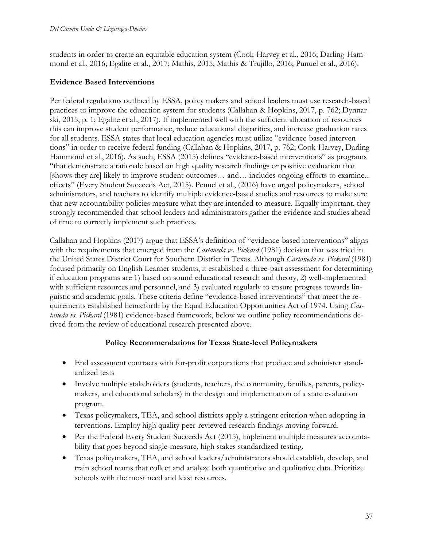students in order to create an equitable education system (Cook-Harvey et al., 2016; Darling-Hammond et al., 2016; Egalite et al., 2017; Mathis, 2015; Mathis & Trujillo, 2016; Punuel et al., 2016).

#### **Evidence Based Interventions**

Per federal regulations outlined by ESSA, policy makers and school leaders must use research-based practices to improve the education system for students (Callahan & Hopkins, 2017, p. 762; Dynnarski, 2015, p. 1; Egalite et al., 2017). If implemented well with the sufficient allocation of resources this can improve student performance, reduce educational disparities, and increase graduation rates for all students. ESSA states that local education agencies must utilize "evidence-based interventions" in order to receive federal funding (Callahan & Hopkins, 2017, p. 762; Cook-Harvey, Darling-Hammond et al., 2016). As such, ESSA (2015) defines "evidence-based interventions" as programs "that demonstrate a rationale based on high quality research findings or positive evaluation that [shows they are] likely to improve student outcomes... and... includes ongoing efforts to examine... effects" (Every Student Succeeds Act, 2015). Penuel et al., (2016) have urged policymakers, school administrators, and teachers to identify multiple evidence-based studies and resources to make sure that new accountability policies measure what they are intended to measure. Equally important, they strongly recommended that school leaders and administrators gather the evidence and studies ahead of time to correctly implement such practices.

Callahan and Hopkins (2017) argue that ESSA's definition of "evidence-based interventions" aligns with the requirements that emerged from the *Castaneda vs. Pickard* (1981) decision that was tried in the United States District Court for Southern District in Texas. Although *Castaneda vs. Pickard* (1981) focused primarily on English Learner students, it established a three-part assessment for determining if education programs are 1) based on sound educational research and theory, 2) well-implemented with sufficient resources and personnel, and 3) evaluated regularly to ensure progress towards linguistic and academic goals. These criteria define "evidence-based interventions" that meet the requirements established henceforth by the Equal Education Opportunities Act of 1974. Using *Castaneda vs. Pickard* (1981) evidence-based framework, below we outline policy recommendations derived from the review of educational research presented above.

#### **Policy Recommendations for Texas State-level Policymakers**

- End assessment contracts with for-profit corporations that produce and administer standardized tests
- Involve multiple stakeholders (students, teachers, the community, families, parents, policymakers, and educational scholars) in the design and implementation of a state evaluation program.
- Texas policymakers, TEA, and school districts apply a stringent criterion when adopting interventions. Employ high quality peer-reviewed research findings moving forward.
- Per the Federal Every Student Succeeds Act (2015), implement multiple measures accountability that goes beyond single-measure, high stakes standardized testing.
- Texas policymakers, TEA, and school leaders/administrators should establish, develop, and train school teams that collect and analyze both quantitative and qualitative data. Prioritize schools with the most need and least resources.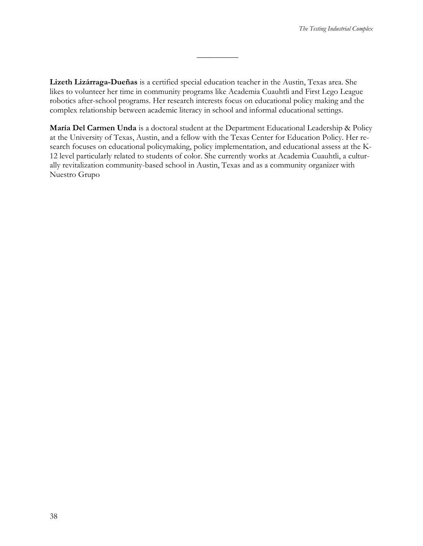**Lizeth Lizárraga-Dueñas** is a certified special education teacher in the Austin, Texas area. She likes to volunteer her time in community programs like Academia Cuauhtli and First Lego League robotics after-school programs. Her research interests focus on educational policy making and the complex relationship between academic literacy in school and informal educational settings.

 $\overline{\phantom{a}}$ 

**María Del Carmen Unda** is a doctoral student at the Department Educational Leadership & Policy at the University of Texas, Austin, and a fellow with the Texas Center for Education Policy. Her research focuses on educational policymaking, policy implementation, and educational assess at the K-12 level particularly related to students of color. She currently works at Academia Cuauhtli, a culturally revitalization community-based school in Austin, Texas and as a community organizer with Nuestro Grupo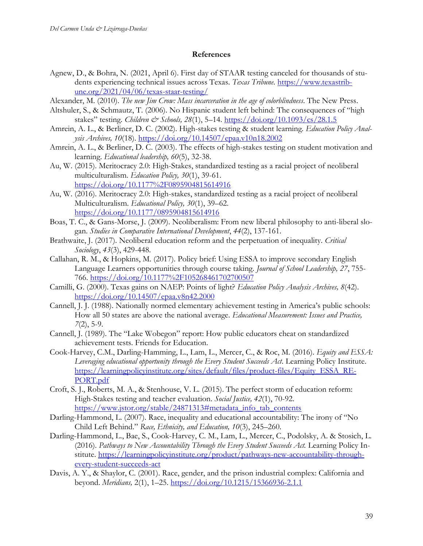#### **References**

- Agnew, D., & Bohra, N. (2021, April 6). First day of STAAR testing canceled for thousands of students experiencing technical issues across Texas. *Texas Tribune*. [https://www.texastrib](https://www.texastribune.org/2021/04/06/texas-staar-testing/)[une.org/2021/04/06/texas-staar-testing/](https://www.texastribune.org/2021/04/06/texas-staar-testing/)
- Alexander, M. (2010). *The new Jim Crow: Mass incarceration in the age of colorblindness*. The New Press.
- Altshuler, S., & Schmautz, T. (2006). No Hispanic student left behind: The consequences of "high stakes" testing. Children & Schools, 28(1), 5-14.<https://doi.org/10.1093/cs/28.1.5>
- Amrein, A. L., & Berliner, D. C. (2002). High-stakes testing & student learning. *Education Policy Analysis Archives, 10*(18).<https://doi.org/10.14507/epaa.v10n18.2002>
- Amrein, A. L., & Berliner, D. C. (2003). The effects of high-stakes testing on student motivation and learning. *Educational leadership, 60*(5), 32-38.
- Au, W. (2015). Meritocracy 2.0: High-Stakes, standardized testing as a racial project of neoliberal multiculturalism. *Education Policy, 30*(1), 39-61. <https://doi.org/10.1177%2F0895904815614916>
- Au, W. (2016). Meritocracy 2.0: High-stakes, standardized testing as a racial project of neoliberal Multiculturalism. *Educational Policy, 30*(1), 39–62. <https://doi.org/10.1177/0895904815614916>
- Boas, T. C., & Gans-Morse, J. (2009). Neoliberalism: From new liberal philosophy to anti-liberal slogan. *Studies in Comparative International Development*, *44*(2), 137-161.
- Brathwaite, J. (2017). Neoliberal education reform and the perpetuation of inequality. *Critical Sociology*, *43*(3), 429-448.
- Callahan, R. M., & Hopkins, M. (2017). Policy brief: Using ESSA to improve secondary English Language Learners opportunities through course taking. *Journal of School Leadership, 27*, 755- 766.<https://doi.org/10.1177%2F105268461702700507>
- Camilli, G. (2000). Texas gains on NAEP: Points of light? *Education Policy Analysis Archives, 8*(42). <https://doi.org/10.14507/epaa.v8n42.2000>
- Cannell, J. J. (1988). Nationally normed elementary achievement testing in America's public schools: How all 50 states are above the national average. *Educational Measurement: Issues and Practice, 7*(2), 5-9.
- Cannell, J. (1989). The "Lake Wobegon" report: How public educators cheat on standardized achievement tests. Friends for Education.
- Cook-Harvey, C.M., Darling-Hamming, L., Lam, L., Mercer, C., & Roc, M. (2016). *Equity and ESSA: Leveraging educational opportunity through the Every Student Succeeds Act*. Learning Policy Institute. [https://learningpolicyinstitute.org/sites/default/files/product-files/Equity\\_ESSA\\_RE-](https://learningpolicyinstitute.org/sites/default/files/product-files/Equity_ESSA_REPORT.pdf)[PORT.pdf](https://learningpolicyinstitute.org/sites/default/files/product-files/Equity_ESSA_REPORT.pdf)
- Croft, S. J., Roberts, M. A., & Stenhouse, V. L. (2015). The perfect storm of education reform: High-Stakes testing and teacher evaluation. *Social Justice, 42*(1), 70-92. [https://www.jstor.org/stable/24871313#metadata\\_info\\_tab\\_contents](https://www.jstor.org/stable/24871313#metadata_info_tab_contents)
- Darling-Hammond, L. (2007). Race, inequality and educational accountability: The irony of "No Child Left Behind." *Race, Ethnicity, and Education, 10*(3), 245–260.
- Darling-Hammond, L., Bae, S., Cook-Harvey, C. M., Lam, L., Mercer, C., Podolsky, A. & Stosich, L. (2016). *Pathways to New Accountability Through the Every Student Succeeds Act.* Learning Policy Institute. [https://learningpolicyinstitute.org/product/pathways-new-accountability-through](https://learningpolicyinstitute.org/product/pathways-new-accountability-through-every-student-succeeds-act)[every-student-succeeds-act](https://learningpolicyinstitute.org/product/pathways-new-accountability-through-every-student-succeeds-act)
- Davis, A. Y., & Shaylor, C. (2001). Race, gender, and the prison industrial complex: California and beyond. *Meridians,* 2(1), 1–25.<https://doi.org/10.1215/15366936-2.1.1>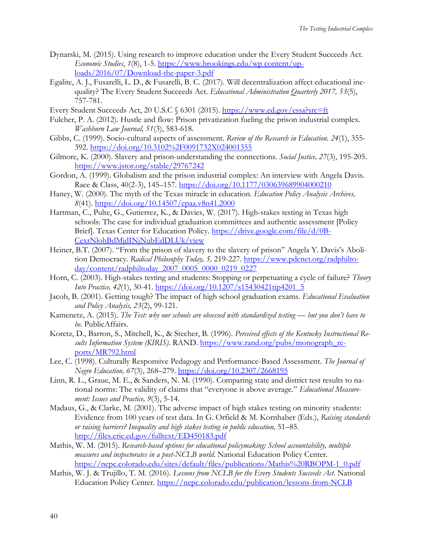- Dynarski, M. (2015). Using research to improve education under the Every Student Succeeds Act. *Economic Studies*, *1*(8), 1-5. [https://www.brookings.edu/wp content/up](https://www.brookings.edu/wp-content/uploads/2016/07/Download-the-paper-3.pdf)[loads/2016/07/Download-the-paper-3.pdf](https://www.brookings.edu/wp-content/uploads/2016/07/Download-the-paper-3.pdf)
- Egalite, A. J., Fusarelli, L. D., & Fusarelli, B. C. (2017). Will decentralization affect educational inequality? The Every Student Succeeds Act. *Educational Administration Quarterly 2017, 53*(5), 757-781.
- Every Student Succeeds Act, 20 U.S.C § 6301 (2015).<https://www.ed.gov/essa?src=ft>
- Fulcher, P. A. (2012). Hustle and flow: Prison privatization fueling the prison industrial complex. *Washburn Law Journal, 51*(3), 583-618.
- Gibbs, C. (1999). Socio-cultural aspects of assessment. *Review of the Research in Education. 24*(1), 355- 392.<https://doi.org/10.3102%2F0091732X024001355>
- Gilmore, K. (2000). Slavery and prison-understanding the connections. *Social Justice, 27*(3), 195-205. <https://www.jstor.org/stable/29767242>
- Gordon, A. (1999). Globalism and the prison industrial complex: An interview with Angela Davis. Race & Class, 40(2-3), 145–157.<https://doi.org/10.1177/030639689904000210>
- Haney, W. (2000). The myth of the Texas miracle in education. *Education Policy Analysis Archives, 8*(41).<https://doi.org/10.14507/epaa.v8n41.2000>
- Hartman, C., Pulte, G., Gutierrez, K., & Davies, W. (2017). High-stakes testing in Texas high schools: The case for individual graduation committees and authentic assessment [Policy Brief]. Texas Center for Education Policy. [https://drive.google.com/file/d/0B-](https://drive.google.com/file/d/0B-CexrNlohBdMjdINjNubEdDLUk/view)[CexrNlohBdMjdINjNubEdDLUk/view](https://drive.google.com/file/d/0B-CexrNlohBdMjdINjNubEdDLUk/view)
- Heiner, B.T. (2007). "From the prison of slavery to the slavery of prison" Angela Y. Davis's Abolition Democracy. *Radical Philosophy Today, 5,* 219-227. [https://www.pdcnet.org/radphilto](https://www.pdcnet.org/radphiltoday/content/radphiltoday_2007_0005_0000_0219_0227)[day/content/radphiltoday\\_2007\\_0005\\_0000\\_0219\\_0227](https://www.pdcnet.org/radphiltoday/content/radphiltoday_2007_0005_0000_0219_0227)
- Horn, C. (2003). High-stakes testing and students: Stopping or perpetuating a cycle of failure? *Theory Into Practice, 42*(1), 30-41. [https://doi.org/10.1207/s15430421tip4201\\_5](https://doi.org/10.1207/s15430421tip4201_5)
- Jacob, B. (2001). Getting tough? The impact of high school graduation exams. *Educational Evaluation and Policy Analysis, 23*(2), 99-121.
- Kamenetz, A. (2015). *The Test: why our schools are obsessed with standardized testing but you don't have to be*. PublicAffairs.
- Koretz, D., Barron, S., Mitchell, K., & Stecher, B. (1996). *Perceived effects of the Kentucky Instructional Re*sults Information System (KIRIS). RAND. [https://www.rand.org/pubs/monograph\\_re](https://www.rand.org/pubs/monograph_reports/MR792.html)[ports/MR792.html](https://www.rand.org/pubs/monograph_reports/MR792.html)
- Lee, C. (1998). Culturally Responsive Pedagogy and Performance-Based Assessment. *The Journal of Negro Education, 67*(3), 268–279.<https://doi.org/10.2307/2668195>
- Linn, R. L., Graue, M. E., & Sanders, N. M. (1990). Comparing state and district test results to national norms: The validity of claims that "everyone is above average." *Educational Measurement: Issues and Practice, 9*(3), 5-14.
- Madaus, G., & Clarke, M. (2001). The adverse impact of high stakes testing on minority students: Evidence from 100 years of test data. In G. Orfield & M. Kornhaber (Eds.), *Raising standards or raising barriers? Inequality and high stakes testing in public education,* 51–85. <http://files.eric.ed.gov/fulltext/ED450183.pdf>
- Mathis, W. M. (2015). *Research-based options for educational policymaking: School accountability, multiple measures and inspectorates in a post-NCLB world*. National Education Policy Center. [https://nepc.colorado.edu/sites/default/files/publications/Mathis%20RBOPM-1\\_0.pdf](https://nepc.colorado.edu/sites/default/files/publications/Mathis%20RBOPM-1_0.pdf)
- Mathis, W. J. & Trujillo, T. M. (2016). *Lessons from NCLB for the Every Students Succeeds Act*. National Education Policy Center.<https://nepc.colorado.edu/publication/lessons-from-NCLB>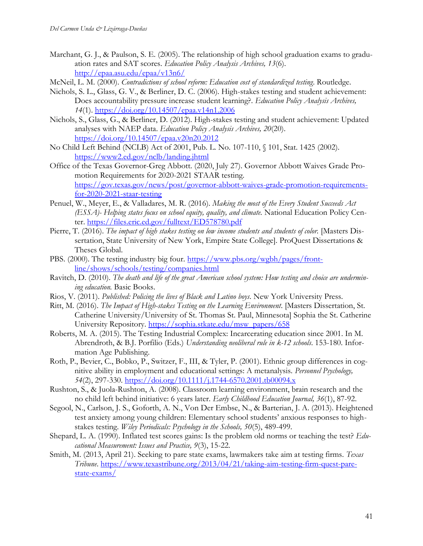- Marchant, G. J., & Paulson, S. E. (2005). The relationship of high school graduation exams to graduation rates and SAT scores. *Education Policy Analysis Archives, 13*(6). <http://epaa.asu.edu/epaa/v13n6/>
- McNeil, L. M. (2000). *Contradictions of school reform: Education cost of standardized testing*. Routledge.
- Nichols, S. L., Glass, G. V., & Berliner, D. C. (2006). High-stakes testing and student achievement: Does accountability pressure increase student learning?. *Education Policy Analysis Archives, 14*(1).<https://doi.org/10.14507/epaa.v14n1.2006>
- Nichols, S., Glass, G., & Berliner, D. (2012). High-stakes testing and student achievement: Updated analyses with NAEP data. *Education Policy Analysis Archives, 20*(20). <https://doi.org/10.14507/epaa.v20n20.2012>
- No Child Left Behind (NCLB) Act of 2001, Pub. L. No. 107-110, § 101, Stat. 1425 (2002). <https://www2.ed.gov/nclb/landing.jhtml>
- Office of the Texas Governor-Greg Abbott. (2020, July 27). Governor Abbott Waives Grade Promotion Requirements for 2020-2021 STAAR testing. [https://gov.texas.gov/news/post/governor-abbott-waives-grade-promotion-requirements](https://gov.texas.gov/news/post/governor-abbott-waives-grade-promotion-requirements-for-2020-2021-staar-testing)[for-2020-2021-staar-testing](https://gov.texas.gov/news/post/governor-abbott-waives-grade-promotion-requirements-for-2020-2021-staar-testing)
- Penuel, W., Meyer, E., & Valladares, M. R. (2016). *Making the most of the Every Student Succeeds Act (ESSA)- Helping states focus on school equity, quality, and climate.* National Education Policy Center.<https://files.eric.ed.gov/fulltext/ED578780.pdf>
- Pierre, T. (2016). *The impact of high stakes testing on low income students and students of color.* [Masters Dissertation, State University of New York, Empire State College]. ProQuest Dissertations & Theses Global.
- PBS. (2000). The testing industry big four. [https://www.pbs.org/wgbh/pages/front](https://www.pbs.org/wgbh/pages/frontline/shows/schools/testing/companies.html)[line/shows/schools/testing/companies.html](https://www.pbs.org/wgbh/pages/frontline/shows/schools/testing/companies.html)
- Ravitch, D. (2010). *The death and life of the great American school system: How testing and choice are undermining education.* Basic Books.
- Rios, V. (2011). *Published: Policing the lives of Black and Latino boys*. New York University Press.
- Ritt, M. (2016). *The Impact of High-stakes Testing on the Learning Environment*. [Masters Dissertation, St. Catherine University/University of St. Thomas St. Paul, Minnesota] Sophia the St. Catherine University Repository. [https://sophia.stkate.edu/msw\\_papers/658](https://sophia.stkate.edu/msw_papers/658)
- Roberts, M. A. (2015). The Testing Industrial Complex: Incarcerating education since 2001. In M. Abrendroth, & B.J. Porfilio (Eds.) *Understanding neoliberal rule in k-12 schools*. 153-180. Information Age Publishing.
- Roth, P., Bevier, C., Bobko, P., Switzer, F., III, & Tyler, P. (2001). Ethnic group differences in cognitive ability in employment and educational settings: A metanalysis. *Personnel Psychology, 54*(2), 297-330.<https://doi.org/10.1111/j.1744-6570.2001.tb00094.x>
- Rushton, S., & Juola-Rushton, A. (2008). Classroom learning environment, brain research and the no child left behind initiative: 6 years later. *Early Childhood Education Journal, 36*(1), 87-92.
- Segool, N., Carlson, J. S., Goforth, A. N., Von Der Embse, N., & Barterian, J. A. (2013). Heightened test anxiety among young children: Elementary school students' anxious responses to highstakes testing. *Wiley Periodicals: Psychology in the Schools, 50*(5), 489-499.
- Shepard, L. A. (1990). Inflated test scores gains: Is the problem old norms or teaching the test? *Educational Measurement: Issues and Practice, 9*(3), 15-22.
- Smith, M. (2013, April 21). Seeking to pare state exams, lawmakers take aim at testing firms. *Texas Tribune*. [https://www.texastribune.org/2013/04/21/taking-aim-testing-firm-quest-pare](https://www.texastribune.org/2013/04/21/taking-aim-testing-firm-quest-pare-state-exams/)[state-exams/](https://www.texastribune.org/2013/04/21/taking-aim-testing-firm-quest-pare-state-exams/)